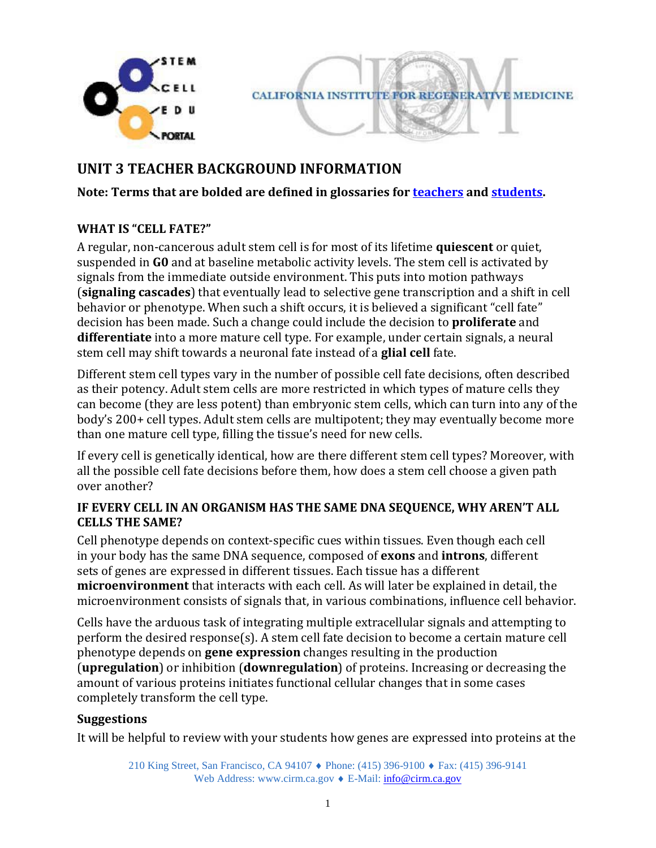

**CALIFORNIA INSTITUTE FOR REGENERATIVE MEDICINE** 

# **UNIT 3 TEACHER BACKGROUND INFORMATION**

**Note: Terms that are bolded are defined in glossaries for [teachers](http://www.cirm.ca.gov/sites/default/files/files/about_stemcells/Unit_3_TeacherGlossary.pdf) and [students.](http://www.cirm.ca.gov/sites/default/files/files/about_stemcells/Unit_3_StudentGlossary.pdf)** 

### **WHAT IS "CELL FATE?"**

A regular, non-cancerous adult stem cell is for most of its lifetime **quiescent** or quiet, suspended in **G0** and at baseline metabolic activity levels. The stem cell is activated by signals from the immediate outside environment. This puts into motion pathways (**signaling cascades**) that eventually lead to selective gene transcription and a shift in cell behavior or phenotype. When such a shift occurs, it is believed a significant "cell fate" decision has been made. Such a change could include the decision to **proliferate** and **differentiate** into a more mature cell type. For example, under certain signals, a neural stem cell may shift towards a neuronal fate instead of a **glial cell** fate.

Different stem cell types vary in the number of possible cell fate decisions, often described as their potency. Adult stem cells are more restricted in which types of mature cells they can become (they are less potent) than embryonic stem cells, which can turn into any of the body's 200+ cell types. Adult stem cells are multipotent; they may eventually become more than one mature cell type, filling the tissue's need for new cells.

If every cell is genetically identical, how are there different stem cell types? Moreover, with all the possible cell fate decisions before them, how does a stem cell choose a given path over another?

### **IF EVERY CELL IN AN ORGANISM HAS THE SAME DNA SEQUENCE, WHY AREN'T ALL CELLS THE SAME?**

Cell phenotype depends on context-specific cues within tissues. Even though each cell in your body has the same DNA sequence, composed of **exons** and **introns**, different sets of genes are expressed in different tissues. Each tissue has a different **microenvironment** that interacts with each cell. As will later be explained in detail, the microenvironment consists of signals that, in various combinations, influence cell behavior.

Cells have the arduous task of integrating multiple extracellular signals and attempting to perform the desired response(s). A stem cell fate decision to become a certain mature cell phenotype depends on **gene expression** changes resulting in the production (**upregulation**) or inhibition (**downregulation**) of proteins. Increasing or decreasing the amount of various proteins initiates functional cellular changes that in some cases completely transform the cell type.

### **Suggestions**

It will be helpful to review with your students how genes are expressed into proteins at the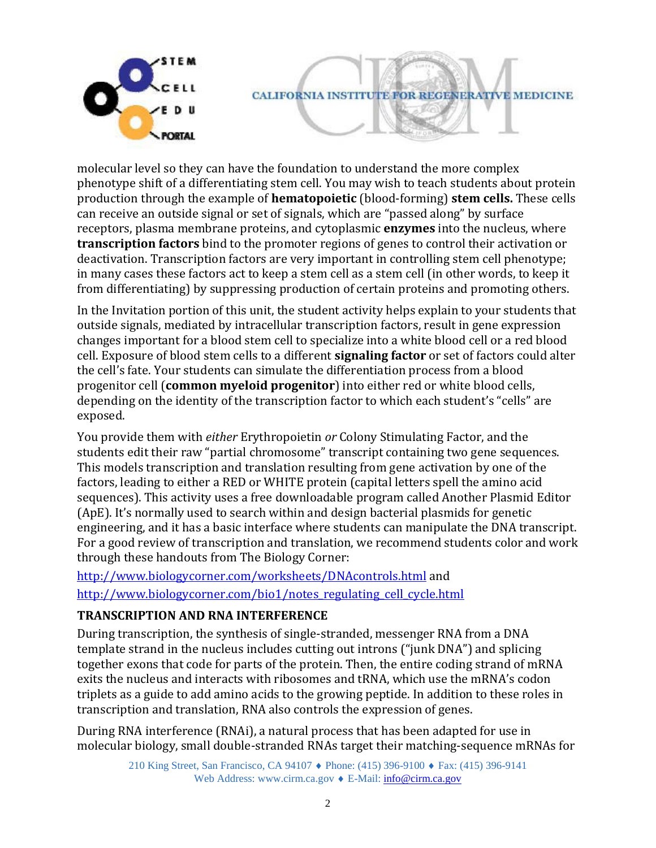

molecular level so they can have the foundation to understand the more complex phenotype shift of a differentiating stem cell. You may wish to teach students about protein production through the example of **hematopoietic** (blood-forming) **stem cells.** These cells can receive an outside signal or set of signals, which are "passed along" by surface receptors, plasma membrane proteins, and cytoplasmic **enzymes** into the nucleus, where **transcription factors** bind to the promoter regions of genes to control their activation or deactivation. Transcription factors are very important in controlling stem cell phenotype; in many cases these factors act to keep a stem cell as a stem cell (in other words, to keep it from differentiating) by suppressing production of certain proteins and promoting others.

In the Invitation portion of this unit, the student activity helps explain to your students that outside signals, mediated by intracellular transcription factors, result in gene expression changes important for a blood stem cell to specialize into a white blood cell or a red blood cell. Exposure of blood stem cells to a different **signaling factor** or set of factors could alter the cell's fate. Your students can simulate the differentiation process from a blood progenitor cell (**common myeloid progenitor**) into either red or white blood cells, depending on the identity of the transcription factor to which each student's "cells" are exposed.

You provide them with *either* Erythropoietin *or* Colony Stimulating Factor, and the students edit their raw "partial chromosome" transcript containing two gene sequences. This models transcription and translation resulting from gene activation by one of the factors, leading to either a RED or WHITE protein (capital letters spell the amino acid sequences). This activity uses a free downloadable program called Another Plasmid Editor (ApE). It's normally used to search within and design bacterial plasmids for genetic engineering, and it has a basic interface where students can manipulate the DNA transcript. For a good review of transcription and translation, we recommend students color and work through these handouts from The Biology Corner:

<http://www.biologycorner.com/worksheets/DNAcontrols.html> and [http://www.biologycorner.com/bio1/notes\\_regulating\\_cell\\_cycle.html](http://www.biologycorner.com/bio1/notes_regulating_cell_cycle.html)

### **TRANSCRIPTION AND RNA INTERFERENCE**

During transcription, the synthesis of single-stranded, messenger RNA from a DNA template strand in the nucleus includes cutting out introns ("junk DNA") and splicing together exons that code for parts of the protein. Then, the entire coding strand of mRNA exits the nucleus and interacts with ribosomes and tRNA, which use the mRNA's codon triplets as a guide to add amino acids to the growing peptide. In addition to these roles in transcription and translation, RNA also controls the expression of genes.

During RNA interference (RNAi), a natural process that has been adapted for use in molecular biology, small double-stranded RNAs target their matching-sequence mRNAs for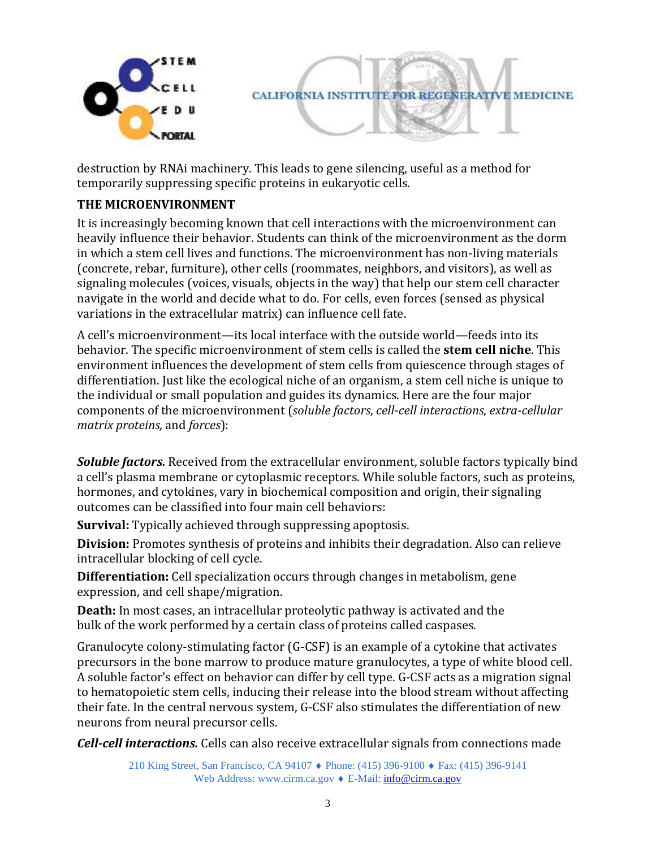

destruction by RNAi machinery. This leads to gene silencing, useful as a method for temporarily suppressing specific proteins in eukaryotic cells.

### **THE MICROENVIRONMENT**

It is increasingly becoming known that cell interactions with the microenvironment can heavily influence their behavior. Students can think of the microenvironment as the dorm in which a stem cell lives and functions. The microenvironment has non-living materials (concrete, rebar, furniture), other cells (roommates, neighbors, and visitors), as well as signaling molecules (voices, visuals, objects in the way) that help our stem cell character navigate in the world and decide what to do. For cells, even forces (sensed as physical variations in the extracellular matrix) can influence cell fate.

A cell's microenvironment—its local interface with the outside world—feeds into its behavior. The specific microenvironment of stem cells is called the **stem cell niche**. This environment influences the development of stem cells from quiescence through stages of differentiation. Just like the ecological niche of an organism, a stem cell niche is unique to the individual or small population and guides its dynamics. Here are the four major components of the microenvironment (*soluble factors*, *cell-cell interactions*, *extra-cellular matrix proteins*, and *forces*):

*Soluble factors.* Received from the extracellular environment, soluble factors typically bind a cell's plasma membrane or cytoplasmic receptors. While soluble factors, such as proteins, hormones, and cytokines, vary in biochemical composition and origin, their signaling outcomes can be classified into four main cell behaviors:

**Survival:** Typically achieved through suppressing apoptosis.

**Division:** Promotes synthesis of proteins and inhibits their degradation. Also can relieve intracellular blocking of cell cycle.

**Differentiation:** Cell specialization occurs through changes in metabolism, gene expression, and cell shape/migration.

**Death:** In most cases, an intracellular proteolytic pathway is activated and the bulk of the work performed by a certain class of proteins called caspases.

Granulocyte colony-stimulating factor (G-CSF) is an example of a cytokine that activates precursors in the bone marrow to produce mature granulocytes, a type of white blood cell. A soluble factor's effect on behavior can differ by cell type. G-CSF acts as a migration signal to hematopoietic stem cells, inducing their release into the blood stream without affecting their fate. In the central nervous system, G-CSF also stimulates the differentiation of new neurons from neural precursor cells.

*Cell-cell interactions.* Cells can also receive extracellular signals from connections made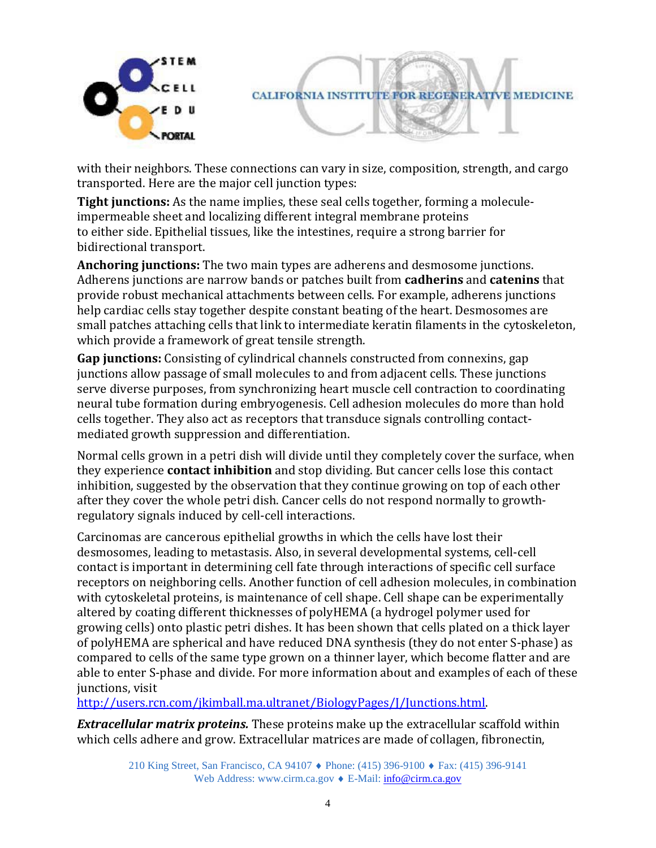



with their neighbors. These connections can vary in size, composition, strength, and cargo transported. Here are the major cell junction types:

**Tight junctions:** As the name implies, these seal cells together, forming a moleculeimpermeable sheet and localizing different integral membrane proteins to either side. Epithelial tissues, like the intestines, require a strong barrier for bidirectional transport.

**Anchoring junctions:** The two main types are adherens and desmosome junctions. Adherens junctions are narrow bands or patches built from **cadherins** and **catenins** that provide robust mechanical attachments between cells. For example, adherens junctions help cardiac cells stay together despite constant beating of the heart. Desmosomes are small patches attaching cells that link to intermediate keratin filaments in the cytoskeleton, which provide a framework of great tensile strength.

**Gap junctions:** Consisting of cylindrical channels constructed from connexins, gap junctions allow passage of small molecules to and from adjacent cells. These junctions serve diverse purposes, from synchronizing heart muscle cell contraction to coordinating neural tube formation during embryogenesis. Cell adhesion molecules do more than hold cells together. They also act as receptors that transduce signals controlling contactmediated growth suppression and differentiation.

Normal cells grown in a petri dish will divide until they completely cover the surface, when they experience **contact inhibition** and stop dividing. But cancer cells lose this contact inhibition, suggested by the observation that they continue growing on top of each other after they cover the whole petri dish. Cancer cells do not respond normally to growthregulatory signals induced by cell-cell interactions.

Carcinomas are cancerous epithelial growths in which the cells have lost their desmosomes, leading to metastasis. Also, in several developmental systems, cell-cell contact is important in determining cell fate through interactions of specific cell surface receptors on neighboring cells. Another function of cell adhesion molecules, in combination with cytoskeletal proteins, is maintenance of cell shape. Cell shape can be experimentally altered by coating different thicknesses of polyHEMA (a hydrogel polymer used for growing cells) onto plastic petri dishes. It has been shown that cells plated on a thick layer of polyHEMA are spherical and have reduced DNA synthesis (they do not enter S-phase) as compared to cells of the same type grown on a thinner layer, which become flatter and are able to enter S-phase and divide. For more information about and examples of each of these junctions, visit

[http://users.rcn.com/jkimball.ma.ultranet/BiologyPages/J/Junctions.html.](http://users.rcn.com/jkimball.ma.ultranet/BiologyPages/J/Junctions.html)

*Extracellular matrix proteins.* These proteins make up the extracellular scaffold within which cells adhere and grow. Extracellular matrices are made of collagen, fibronectin,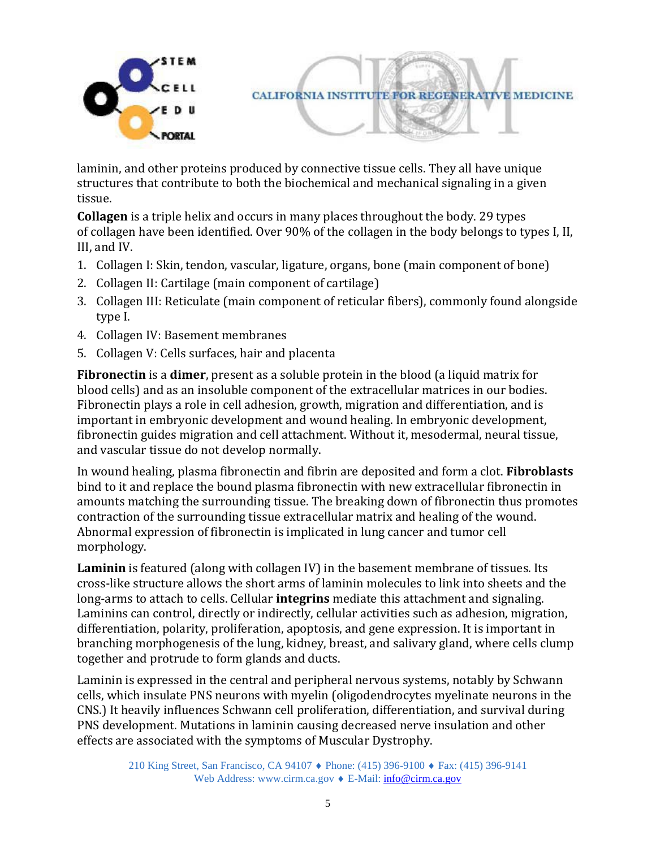

laminin, and other proteins produced by connective tissue cells. They all have unique structures that contribute to both the biochemical and mechanical signaling in a given tissue.

**Collagen** is a triple helix and occurs in many places throughout the body. 29 types of collagen have been identified. Over 90% of the collagen in the body belongs to types I, II, III, and IV.

- 1. Collagen I: Skin, tendon, vascular, ligature, organs, bone (main component of bone)
- 2. Collagen II: Cartilage (main component of cartilage)
- 3. Collagen III: Reticulate (main component of reticular fibers), commonly found alongside type I.
- 4. Collagen IV: Basement membranes
- 5. Collagen V: Cells surfaces, hair and placenta

**Fibronectin** is a **dimer**, present as a soluble protein in the blood (a liquid matrix for blood cells) and as an insoluble component of the extracellular matrices in our bodies. Fibronectin plays a role in cell adhesion, growth, migration and differentiation, and is important in embryonic development and wound healing. In embryonic development, fibronectin guides migration and cell attachment. Without it, mesodermal, neural tissue, and vascular tissue do not develop normally.

In wound healing, plasma fibronectin and fibrin are deposited and form a clot. **Fibroblasts**  bind to it and replace the bound plasma fibronectin with new extracellular fibronectin in amounts matching the surrounding tissue. The breaking down of fibronectin thus promotes contraction of the surrounding tissue extracellular matrix and healing of the wound. Abnormal expression of fibronectin is implicated in lung cancer and tumor cell morphology.

**Laminin** is featured (along with collagen IV) in the basement membrane of tissues. Its cross-like structure allows the short arms of laminin molecules to link into sheets and the long-arms to attach to cells. Cellular **integrins** mediate this attachment and signaling. Laminins can control, directly or indirectly, cellular activities such as adhesion, migration, differentiation, polarity, proliferation, apoptosis, and gene expression. It is important in branching morphogenesis of the lung, kidney, breast, and salivary gland, where cells clump together and protrude to form glands and ducts.

Laminin is expressed in the central and peripheral nervous systems, notably by Schwann cells, which insulate PNS neurons with myelin (oligodendrocytes myelinate neurons in the CNS.) It heavily influences Schwann cell proliferation, differentiation, and survival during PNS development. Mutations in laminin causing decreased nerve insulation and other effects are associated with the symptoms of Muscular Dystrophy.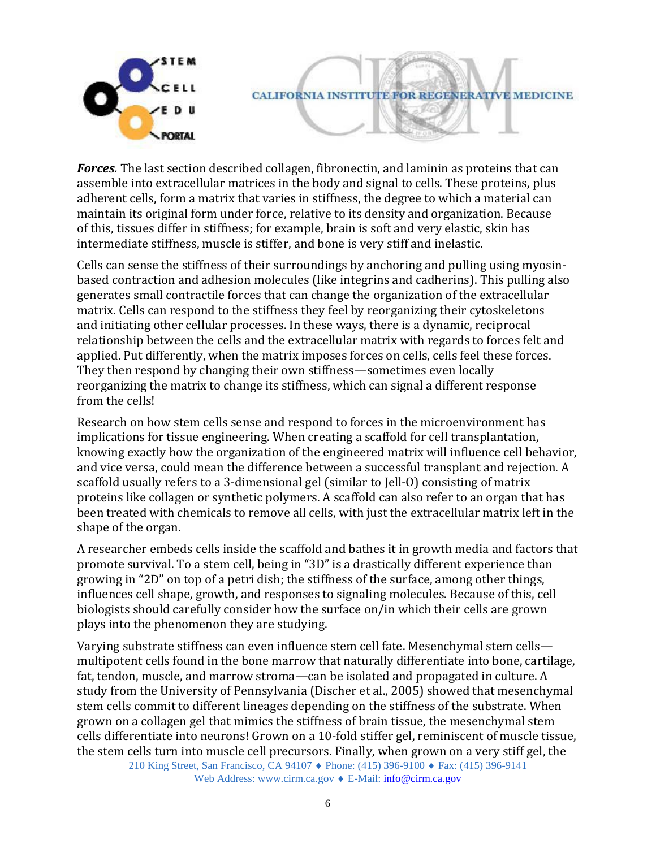

*Forces.* The last section described collagen, fibronectin, and laminin as proteins that can assemble into extracellular matrices in the body and signal to cells. These proteins, plus adherent cells, form a matrix that varies in stiffness, the degree to which a material can maintain its original form under force, relative to its density and organization. Because of this, tissues differ in stiffness; for example, brain is soft and very elastic, skin has intermediate stiffness, muscle is stiffer, and bone is very stiff and inelastic.

Cells can sense the stiffness of their surroundings by anchoring and pulling using myosinbased contraction and adhesion molecules (like integrins and cadherins). This pulling also generates small contractile forces that can change the organization of the extracellular matrix. Cells can respond to the stiffness they feel by reorganizing their cytoskeletons and initiating other cellular processes. In these ways, there is a dynamic, reciprocal relationship between the cells and the extracellular matrix with regards to forces felt and applied. Put differently, when the matrix imposes forces on cells, cells feel these forces. They then respond by changing their own stiffness—sometimes even locally reorganizing the matrix to change its stiffness, which can signal a different response from the cells!

Research on how stem cells sense and respond to forces in the microenvironment has implications for tissue engineering. When creating a scaffold for cell transplantation, knowing exactly how the organization of the engineered matrix will influence cell behavior, and vice versa, could mean the difference between a successful transplant and rejection. A scaffold usually refers to a 3-dimensional gel (similar to Jell-O) consisting of matrix proteins like collagen or synthetic polymers. A scaffold can also refer to an organ that has been treated with chemicals to remove all cells, with just the extracellular matrix left in the shape of the organ.

A researcher embeds cells inside the scaffold and bathes it in growth media and factors that promote survival. To a stem cell, being in "3D" is a drastically different experience than growing in "2D" on top of a petri dish; the stiffness of the surface, among other things, influences cell shape, growth, and responses to signaling molecules. Because of this, cell biologists should carefully consider how the surface on/in which their cells are grown plays into the phenomenon they are studying.

Varying substrate stiffness can even influence stem cell fate. Mesenchymal stem cells multipotent cells found in the bone marrow that naturally differentiate into bone, cartilage, fat, tendon, muscle, and marrow stroma—can be isolated and propagated in culture. A study from the University of Pennsylvania (Discher et al., 2005) showed that mesenchymal stem cells commit to different lineages depending on the stiffness of the substrate. When grown on a collagen gel that mimics the stiffness of brain tissue, the mesenchymal stem cells differentiate into neurons! Grown on a 10-fold stiffer gel, reminiscent of muscle tissue, the stem cells turn into muscle cell precursors. Finally, when grown on a very stiff gel, the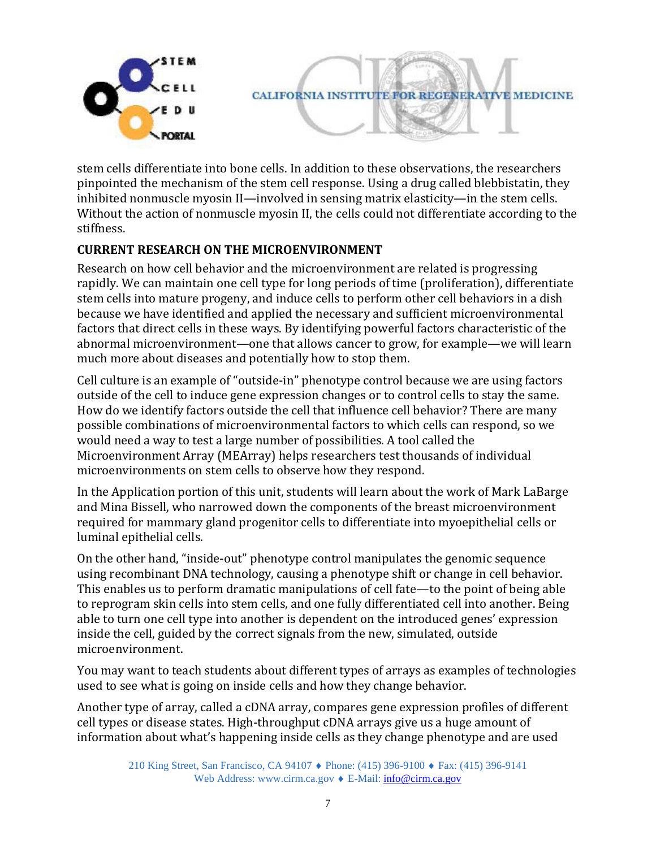

stem cells differentiate into bone cells. In addition to these observations, the researchers pinpointed the mechanism of the stem cell response. Using a drug called blebbistatin, they inhibited nonmuscle myosin II—involved in sensing matrix elasticity—in the stem cells. Without the action of nonmuscle myosin II, the cells could not differentiate according to the stiffness.

### **CURRENT RESEARCH ON THE MICROENVIRONMENT**

Research on how cell behavior and the microenvironment are related is progressing rapidly. We can maintain one cell type for long periods of time (proliferation), differentiate stem cells into mature progeny, and induce cells to perform other cell behaviors in a dish because we have identified and applied the necessary and sufficient microenvironmental factors that direct cells in these ways. By identifying powerful factors characteristic of the abnormal microenvironment—one that allows cancer to grow, for example—we will learn much more about diseases and potentially how to stop them.

Cell culture is an example of "outside-in" phenotype control because we are using factors outside of the cell to induce gene expression changes or to control cells to stay the same. How do we identify factors outside the cell that influence cell behavior? There are many possible combinations of microenvironmental factors to which cells can respond, so we would need a way to test a large number of possibilities. A tool called the Microenvironment Array (MEArray) helps researchers test thousands of individual microenvironments on stem cells to observe how they respond.

In the Application portion of this unit, students will learn about the work of Mark LaBarge and Mina Bissell, who narrowed down the components of the breast microenvironment required for mammary gland progenitor cells to differentiate into myoepithelial cells or luminal epithelial cells.

On the other hand, "inside-out" phenotype control manipulates the genomic sequence using recombinant DNA technology, causing a phenotype shift or change in cell behavior. This enables us to perform dramatic manipulations of cell fate—to the point of being able to reprogram skin cells into stem cells, and one fully differentiated cell into another. Being able to turn one cell type into another is dependent on the introduced genes' expression inside the cell, guided by the correct signals from the new, simulated, outside microenvironment.

You may want to teach students about different types of arrays as examples of technologies used to see what is going on inside cells and how they change behavior.

Another type of array, called a cDNA array, compares gene expression profiles of different cell types or disease states. High-throughput cDNA arrays give us a huge amount of information about what's happening inside cells as they change phenotype and are used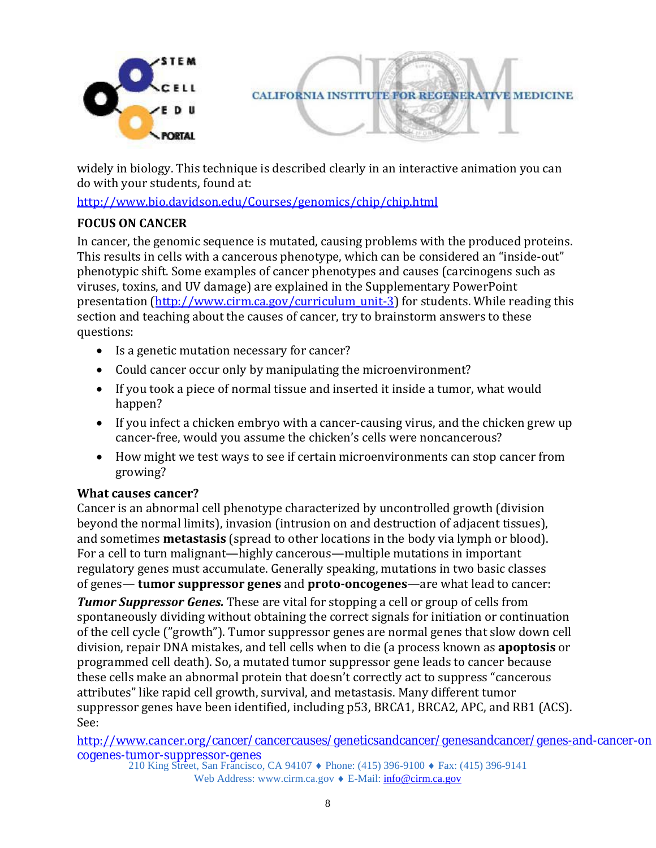

widely in biology. This technique is described clearly in an interactive animation you can do with your students, found at:

<http://www.bio.davidson.edu/Courses/genomics/chip/chip.html>

## **FOCUS ON CANCER**

In cancer, the genomic sequence is mutated, causing problems with the produced proteins. This results in cells with a cancerous phenotype, which can be considered an "inside-out" phenotypic shift. Some examples of cancer phenotypes and causes (carcinogens such as viruses, toxins, and UV damage) are explained in the Supplementary PowerPoint presentation [\(http://www.cirm.ca.gov/curriculum\\_unit-3\)](http://www.cirm.ca.gov/curriculum_unit-3) for students. While reading this section and teaching about the causes of cancer, try to brainstorm answers to these questions:

- Is a genetic mutation necessary for cancer?
- Could cancer occur only by manipulating the microenvironment?
- If you took a piece of normal tissue and inserted it inside a tumor, what would happen?
- If you infect a chicken embryo with a cancer-causing virus, and the chicken grew up cancer-free, would you assume the chicken's cells were noncancerous?
- How might we test ways to see if certain microenvironments can stop cancer from growing?

### **What causes cancer?**

Cancer is an abnormal cell phenotype characterized by uncontrolled growth (division beyond the normal limits), invasion (intrusion on and destruction of adjacent tissues), and sometimes **metastasis** (spread to other locations in the body via lymph or blood). For a cell to turn malignant—highly cancerous—multiple mutations in important regulatory genes must accumulate. Generally speaking, mutations in two basic classes of genes— **tumor suppressor genes** and **proto-oncogenes**—are what lead to cancer:

*Tumor Suppressor Genes.* These are vital for stopping a cell or group of cells from spontaneously dividing without obtaining the correct signals for initiation or continuation of the cell cycle ("growth"). Tumor suppressor genes are normal genes that slow down cell division, repair DNA mistakes, and tell cells when to die (a process known as **apoptosis** or programmed cell death). So, a mutated tumor suppressor gene leads to cancer because these cells make an abnormal protein that doesn't correctly act to suppress "cancerous attributes" like rapid cell growth, survival, and metastasis. Many different tumor suppressor genes have been identified, including p53, BRCA1, BRCA2, APC, and RB1 (ACS). See:

http://www.cancer.org/[cancer/cancercauses/geneticsandcancer/genesandcancer/genes-an](http://www.cancer.org/cancer/cancercauses/geneticsandcancer/genesandcancer/genes-and-cancer-oncogenes-tumor-suppressor-genes)d-cancer-on cogenes-tumor-suppressor-genes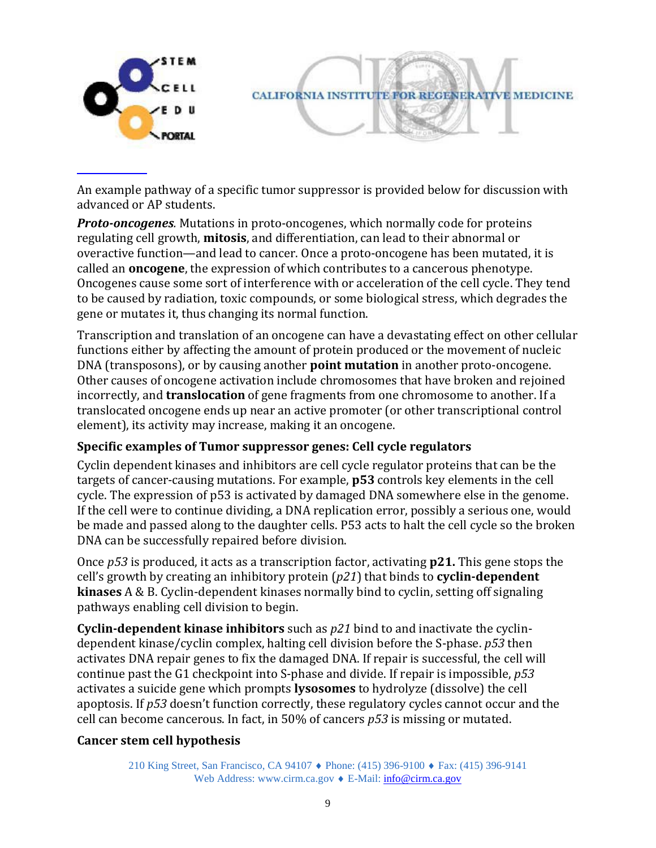

An example pathway of a specific tumor suppressor is provided below for discussion with advanced or AP students.

*Proto-oncogenes*. Mutations in proto-oncogenes, which normally code for proteins regulating cell growth, **mitosis**, and differentiation, can lead to their abnormal or overactive function—and lead to cancer. Once a proto-oncogene has been mutated, it is called an **oncogene**, the expression of which contributes to a cancerous phenotype. Oncogenes cause some sort of interference with or acceleration of the cell cycle. They tend to be caused by radiation, toxic compounds, or some biological stress, which degrades the gene or mutates it, thus changing its normal function.

Transcription and translation of an oncogene can have a devastating effect on other cellular functions either by affecting the amount of protein produced or the movement of nucleic DNA (transposons), or by causing another **point mutation** in another proto-oncogene. Other causes of oncogene activation include chromosomes that have broken and rejoined incorrectly, and **translocation** of gene fragments from one chromosome to another. If a translocated oncogene ends up near an active promoter (or other transcriptional control element), its activity may increase, making it an oncogene.

### **Specific examples of Tumor suppressor genes: Cell cycle regulators**

Cyclin dependent kinases and inhibitors are cell cycle regulator proteins that can be the targets of cancer-causing mutations. For example, **p53** controls key elements in the cell cycle. The expression of p53 is activated by damaged DNA somewhere else in the genome. If the cell were to continue dividing, a DNA replication error, possibly a serious one, would be made and passed along to the daughter cells. P53 acts to halt the cell cycle so the broken DNA can be successfully repaired before division.

Once *p53* is produced, it acts as a transcription factor, activating **p21.** This gene stops the cell's growth by creating an inhibitory protein (*p21*) that binds to **cyclin-dependent kinases** A & B. Cyclin-dependent kinases normally bind to cyclin, setting off signaling pathways enabling cell division to begin.

**Cyclin-dependent kinase inhibitors** such as *p21* bind to and inactivate the cyclindependent kinase/cyclin complex, halting cell division before the S-phase. *p53* then activates DNA repair genes to fix the damaged DNA. If repair is successful, the cell will continue past the G1 checkpoint into S-phase and divide. If repair is impossible, *p53*  activates a suicide gene which prompts **lysosomes** to hydrolyze (dissolve) the cell apoptosis. If *p53* doesn't function correctly, these regulatory cycles cannot occur and the cell can become cancerous. In fact, in 50% of cancers *p53* is missing or mutated.

### **Cancer stem cell hypothesis**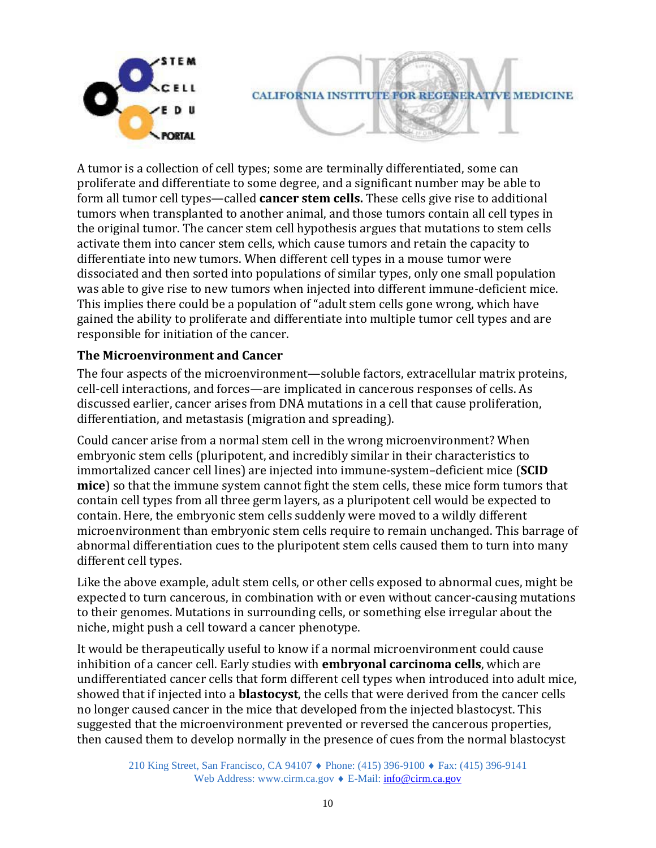

A tumor is a collection of cell types; some are terminally differentiated, some can proliferate and differentiate to some degree, and a significant number may be able to form all tumor cell types—called **cancer stem cells.** These cells give rise to additional tumors when transplanted to another animal, and those tumors contain all cell types in the original tumor. The cancer stem cell hypothesis argues that mutations to stem cells activate them into cancer stem cells, which cause tumors and retain the capacity to differentiate into new tumors. When different cell types in a mouse tumor were dissociated and then sorted into populations of similar types, only one small population was able to give rise to new tumors when injected into different immune-deficient mice. This implies there could be a population of "adult stem cells gone wrong, which have gained the ability to proliferate and differentiate into multiple tumor cell types and are responsible for initiation of the cancer.

### **The Microenvironment and Cancer**

The four aspects of the microenvironment—soluble factors, extracellular matrix proteins, cell-cell interactions, and forces—are implicated in cancerous responses of cells. As discussed earlier, cancer arises from DNA mutations in a cell that cause proliferation, differentiation, and metastasis (migration and spreading).

Could cancer arise from a normal stem cell in the wrong microenvironment? When embryonic stem cells (pluripotent, and incredibly similar in their characteristics to immortalized cancer cell lines) are injected into immune-system–deficient mice (**SCID mice**) so that the immune system cannot fight the stem cells, these mice form tumors that contain cell types from all three germ layers, as a pluripotent cell would be expected to contain. Here, the embryonic stem cells suddenly were moved to a wildly different microenvironment than embryonic stem cells require to remain unchanged. This barrage of abnormal differentiation cues to the pluripotent stem cells caused them to turn into many different cell types.

Like the above example, adult stem cells, or other cells exposed to abnormal cues, might be expected to turn cancerous, in combination with or even without cancer-causing mutations to their genomes. Mutations in surrounding cells, or something else irregular about the niche, might push a cell toward a cancer phenotype.

It would be therapeutically useful to know if a normal microenvironment could cause inhibition of a cancer cell. Early studies with **embryonal carcinoma cells**, which are undifferentiated cancer cells that form different cell types when introduced into adult mice, showed that if injected into a **blastocyst**, the cells that were derived from the cancer cells no longer caused cancer in the mice that developed from the injected blastocyst. This suggested that the microenvironment prevented or reversed the cancerous properties, then caused them to develop normally in the presence of cues from the normal blastocyst